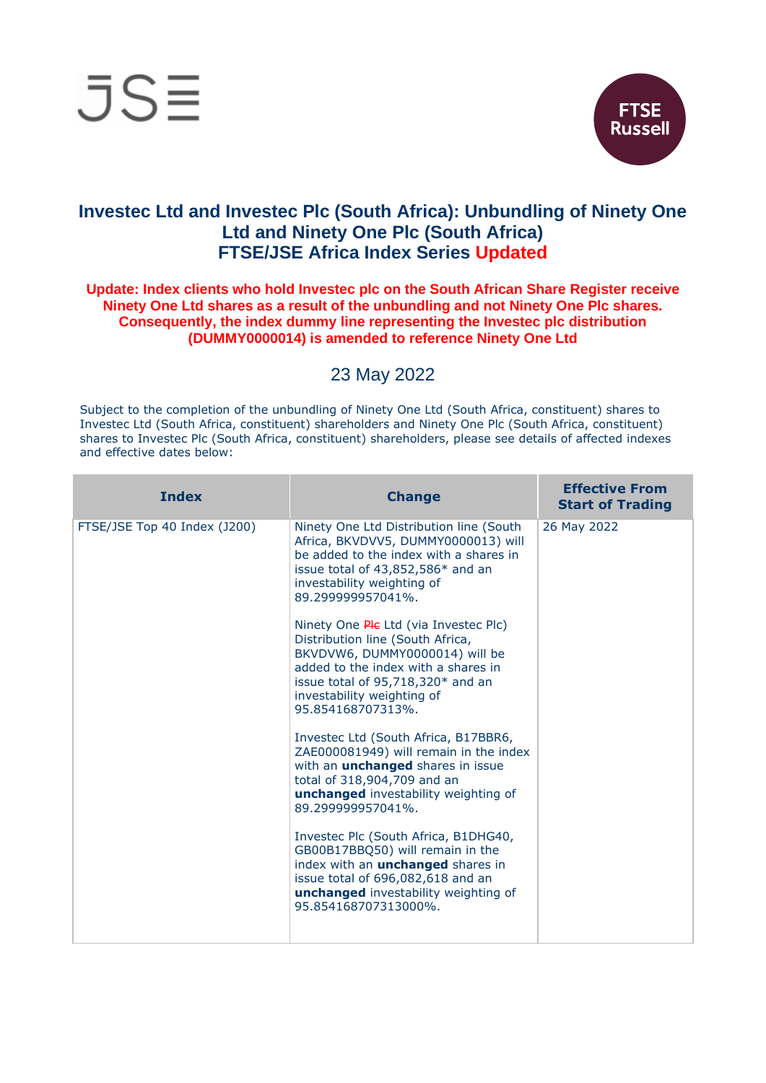



## **Investec Ltd and Investec Plc (South Africa): Unbundling of Ninety One Ltd and Ninety One Plc (South Africa) FTSE/JSE Africa Index Series Updated**

## **Update: Index clients who hold Investec plc on the South African Share Register receive Ninety One Ltd shares as a result of the unbundling and not Ninety One Plc shares. Consequently, the index dummy line representing the Investec plc distribution (DUMMY0000014) is amended to reference Ninety One Ltd**

## 23 May 2022

Subject to the completion of the unbundling of Ninety One Ltd (South Africa, constituent) shares to Investec Ltd (South Africa, constituent) shareholders and Ninety One Plc (South Africa, constituent) shares to Investec Plc (South Africa, constituent) shareholders, please see details of affected indexes and effective dates below:

| <b>Index</b>                 | <b>Change</b>                                                                                                                                                                                                                              | <b>Effective From</b><br><b>Start of Trading</b> |
|------------------------------|--------------------------------------------------------------------------------------------------------------------------------------------------------------------------------------------------------------------------------------------|--------------------------------------------------|
| FTSE/JSE Top 40 Index (J200) | Ninety One Ltd Distribution line (South<br>Africa, BKVDVV5, DUMMY0000013) will<br>be added to the index with a shares in<br>issue total of 43,852,586* and an<br>investability weighting of<br>89.299999957041%.                           | 26 May 2022                                      |
|                              | Ninety One Ple Ltd (via Investec Plc)<br>Distribution line (South Africa,<br>BKVDVW6, DUMMY0000014) will be<br>added to the index with a shares in<br>issue total of 95,718,320* and an<br>investability weighting of<br>95.854168707313%. |                                                  |
|                              | Investec Ltd (South Africa, B17BBR6,<br>ZAE000081949) will remain in the index<br>with an <i>unchanged</i> shares in issue<br>total of 318,904,709 and an<br><b>unchanged</b> investability weighting of<br>89.299999957041%.              |                                                  |
|                              | Investec Plc (South Africa, B1DHG40,<br>GB00B17BBQ50) will remain in the<br>index with an <b>unchanged</b> shares in<br>issue total of 696,082,618 and an<br>unchanged investability weighting of<br>95.854168707313000%.                  |                                                  |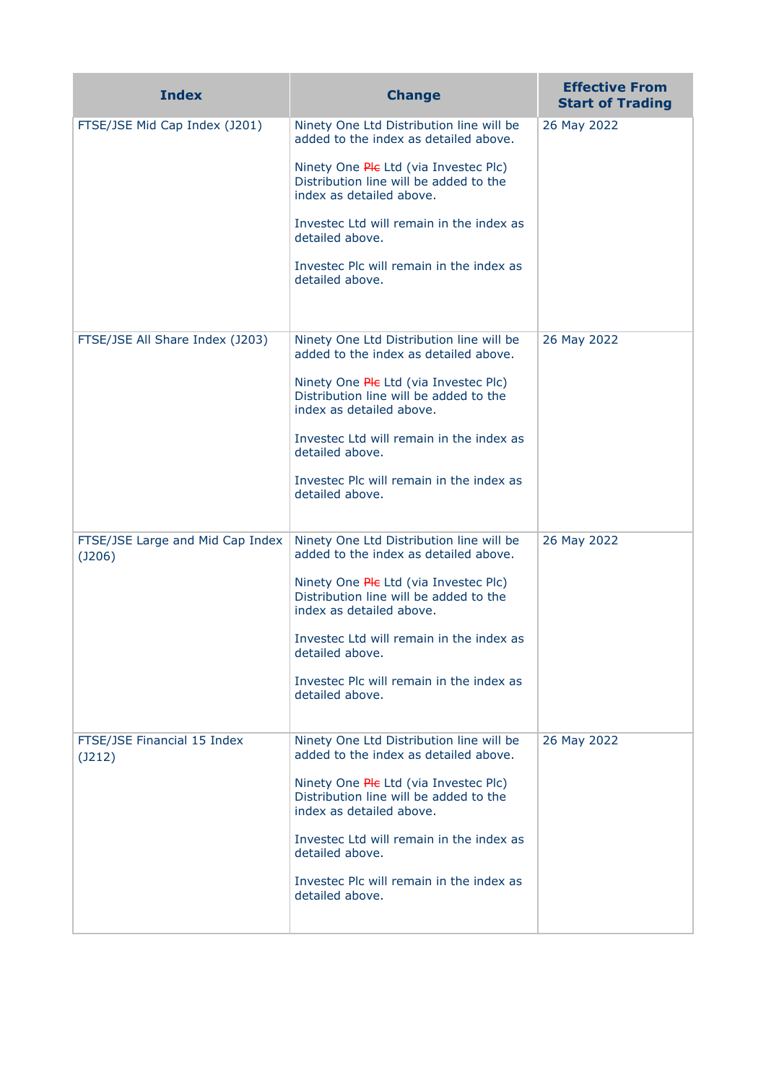| <b>Index</b>                                | <b>Change</b>                                                                                                                                                                                                                                                                                                                  | <b>Effective From</b><br><b>Start of Trading</b> |
|---------------------------------------------|--------------------------------------------------------------------------------------------------------------------------------------------------------------------------------------------------------------------------------------------------------------------------------------------------------------------------------|--------------------------------------------------|
| FTSE/JSE Mid Cap Index (J201)               | Ninety One Ltd Distribution line will be<br>added to the index as detailed above.<br>Ninety One Ple Ltd (via Investec Plc)<br>Distribution line will be added to the<br>index as detailed above.<br>Investec Ltd will remain in the index as<br>detailed above.<br>Investec Plc will remain in the index as<br>detailed above. | 26 May 2022                                      |
| FTSE/JSE All Share Index (J203)             | Ninety One Ltd Distribution line will be<br>added to the index as detailed above.<br>Ninety One Ple Ltd (via Investec Plc)<br>Distribution line will be added to the<br>index as detailed above.<br>Investec Ltd will remain in the index as<br>detailed above.<br>Investec Plc will remain in the index as<br>detailed above. | 26 May 2022                                      |
| FTSE/JSE Large and Mid Cap Index<br>(J206)  | Ninety One Ltd Distribution line will be<br>added to the index as detailed above.<br>Ninety One Ple Ltd (via Investec Plc)<br>Distribution line will be added to the<br>index as detailed above.<br>Investec Ltd will remain in the index as<br>detailed above.<br>Invested Plc will remain in the index as<br>detailed above. | 26 May 2022                                      |
| FTSE/JSE Financial 15 Index<br>$($ J212 $)$ | Ninety One Ltd Distribution line will be<br>added to the index as detailed above.<br>Ninety One Ple Ltd (via Investec Plc)<br>Distribution line will be added to the<br>index as detailed above.<br>Investec Ltd will remain in the index as<br>detailed above.<br>Invested Plc will remain in the index as<br>detailed above. | 26 May 2022                                      |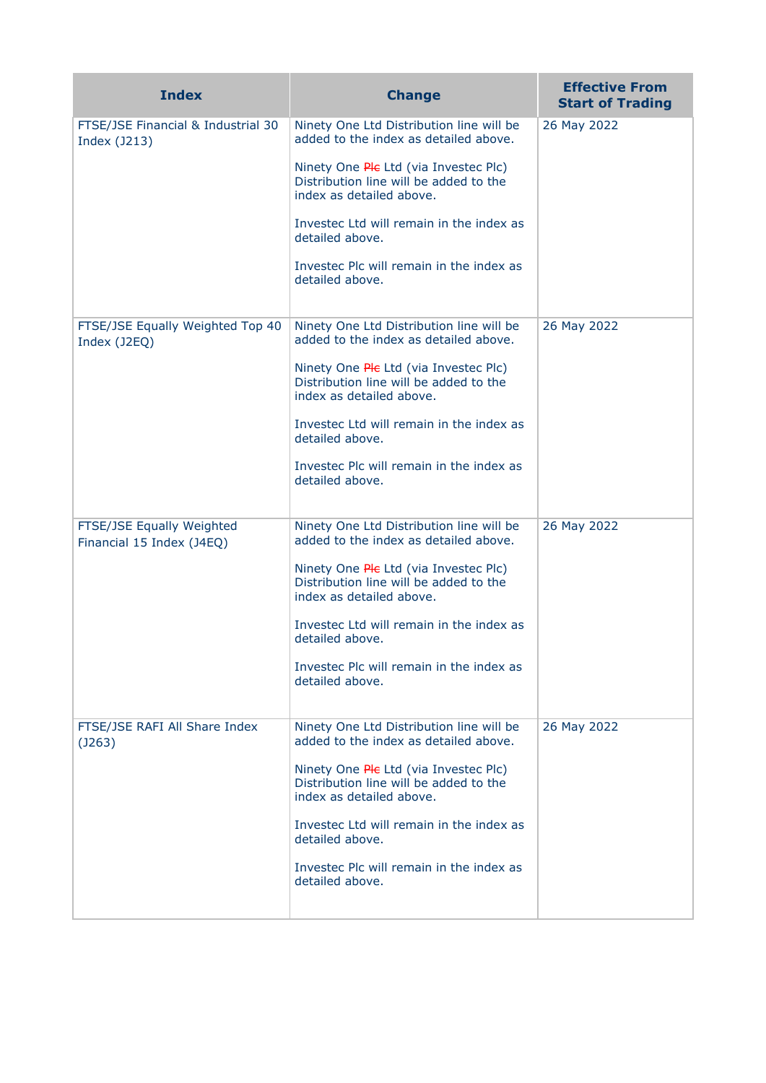| <b>Index</b>                                           | <b>Change</b>                                                                                                                                                        | <b>Effective From</b><br><b>Start of Trading</b> |
|--------------------------------------------------------|----------------------------------------------------------------------------------------------------------------------------------------------------------------------|--------------------------------------------------|
| FTSE/JSE Financial & Industrial 30<br>Index (J213)     | Ninety One Ltd Distribution line will be<br>added to the index as detailed above.<br>Ninety One Ple Ltd (via Investec Plc)<br>Distribution line will be added to the | 26 May 2022                                      |
|                                                        | index as detailed above.<br>Investec Ltd will remain in the index as<br>detailed above.                                                                              |                                                  |
|                                                        | Investec Plc will remain in the index as<br>detailed above.                                                                                                          |                                                  |
| FTSE/JSE Equally Weighted Top 40<br>Index (J2EQ)       | Ninety One Ltd Distribution line will be<br>added to the index as detailed above.                                                                                    | 26 May 2022                                      |
|                                                        | Ninety One Ple Ltd (via Investec Plc)<br>Distribution line will be added to the<br>index as detailed above.                                                          |                                                  |
|                                                        | Investec Ltd will remain in the index as<br>detailed above.                                                                                                          |                                                  |
|                                                        | Investec Plc will remain in the index as<br>detailed above.                                                                                                          |                                                  |
| FTSE/JSE Equally Weighted<br>Financial 15 Index (J4EQ) | Ninety One Ltd Distribution line will be<br>added to the index as detailed above.                                                                                    | 26 May 2022                                      |
|                                                        | Ninety One Ple Ltd (via Investec Plc)<br>Distribution line will be added to the<br>index as detailed above.                                                          |                                                  |
|                                                        | Investec Ltd will remain in the index as<br>detailed above.                                                                                                          |                                                  |
|                                                        | Investec Plc will remain in the index as<br>detailed above.                                                                                                          |                                                  |
| FTSE/JSE RAFI All Share Index<br>$($ J263 $)$          | Ninety One Ltd Distribution line will be<br>added to the index as detailed above.                                                                                    | 26 May 2022                                      |
|                                                        | Ninety One Ple Ltd (via Investec Plc)<br>Distribution line will be added to the<br>index as detailed above.                                                          |                                                  |
|                                                        | Investec Ltd will remain in the index as<br>detailed above.                                                                                                          |                                                  |
|                                                        | Investec Plc will remain in the index as<br>detailed above.                                                                                                          |                                                  |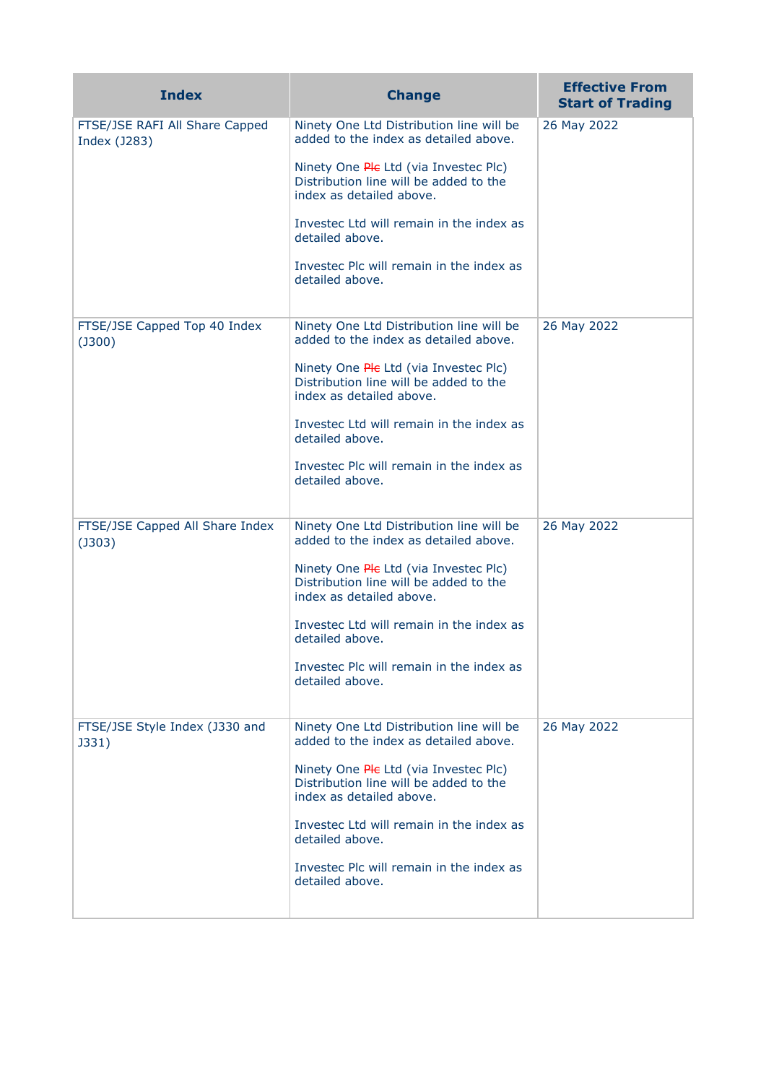| <b>Index</b>                                    | <b>Change</b>                                                                                               | <b>Effective From</b><br><b>Start of Trading</b> |
|-------------------------------------------------|-------------------------------------------------------------------------------------------------------------|--------------------------------------------------|
| FTSE/JSE RAFI All Share Capped<br>Index (J283)  | Ninety One Ltd Distribution line will be<br>added to the index as detailed above.                           | 26 May 2022                                      |
|                                                 | Ninety One Ple Ltd (via Investec Plc)<br>Distribution line will be added to the<br>index as detailed above. |                                                  |
|                                                 | Investec Ltd will remain in the index as<br>detailed above.                                                 |                                                  |
|                                                 | Investec Plc will remain in the index as<br>detailed above.                                                 |                                                  |
| FTSE/JSE Capped Top 40 Index<br>$($ J300 $)$    | Ninety One Ltd Distribution line will be<br>added to the index as detailed above.                           | 26 May 2022                                      |
|                                                 | Ninety One Ple Ltd (via Investec Plc)<br>Distribution line will be added to the<br>index as detailed above. |                                                  |
|                                                 | Investec Ltd will remain in the index as<br>detailed above.                                                 |                                                  |
|                                                 | Investec Plc will remain in the index as<br>detailed above.                                                 |                                                  |
| FTSE/JSE Capped All Share Index<br>$($ J303 $)$ | Ninety One Ltd Distribution line will be<br>added to the index as detailed above.                           | 26 May 2022                                      |
|                                                 | Ninety One Ple Ltd (via Investec Plc)<br>Distribution line will be added to the<br>index as detailed above. |                                                  |
|                                                 | Investec Ltd will remain in the index as<br>detailed above.                                                 |                                                  |
|                                                 | Investec Plc will remain in the index as<br>detailed above.                                                 |                                                  |
| FTSE/JSE Style Index (J330 and<br>J331)         | Ninety One Ltd Distribution line will be<br>added to the index as detailed above.                           | 26 May 2022                                      |
|                                                 | Ninety One Ple Ltd (via Investec Plc)<br>Distribution line will be added to the<br>index as detailed above. |                                                  |
|                                                 | Investec Ltd will remain in the index as<br>detailed above.                                                 |                                                  |
|                                                 | Investec Plc will remain in the index as<br>detailed above.                                                 |                                                  |
|                                                 |                                                                                                             |                                                  |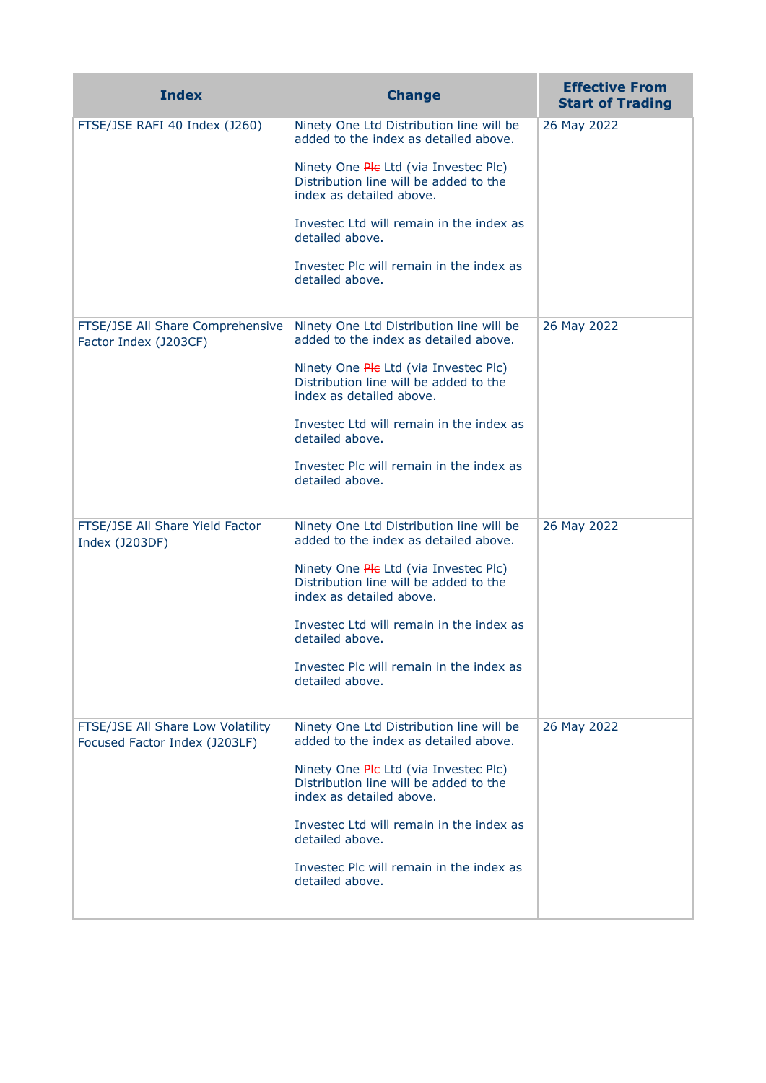| <b>Index</b>                                                       | <b>Change</b>                                                                                               | <b>Effective From</b><br><b>Start of Trading</b> |
|--------------------------------------------------------------------|-------------------------------------------------------------------------------------------------------------|--------------------------------------------------|
| FTSE/JSE RAFI 40 Index (J260)                                      | Ninety One Ltd Distribution line will be<br>added to the index as detailed above.                           | 26 May 2022                                      |
|                                                                    | Ninety One Ple Ltd (via Investec Plc)<br>Distribution line will be added to the<br>index as detailed above. |                                                  |
|                                                                    | Investec Ltd will remain in the index as<br>detailed above.                                                 |                                                  |
|                                                                    | Investec Plc will remain in the index as<br>detailed above.                                                 |                                                  |
| FTSE/JSE All Share Comprehensive<br>Factor Index (J203CF)          | Ninety One Ltd Distribution line will be<br>added to the index as detailed above.                           | 26 May 2022                                      |
|                                                                    | Ninety One Ple Ltd (via Investec Plc)<br>Distribution line will be added to the<br>index as detailed above. |                                                  |
|                                                                    | Investec Ltd will remain in the index as<br>detailed above.                                                 |                                                  |
|                                                                    | Investec Plc will remain in the index as<br>detailed above.                                                 |                                                  |
| FTSE/JSE All Share Yield Factor<br>Index (J203DF)                  | Ninety One Ltd Distribution line will be<br>added to the index as detailed above.                           | 26 May 2022                                      |
|                                                                    | Ninety One Ple Ltd (via Investec Plc)<br>Distribution line will be added to the<br>index as detailed above. |                                                  |
|                                                                    | Investec Ltd will remain in the index as<br>detailed above.                                                 |                                                  |
|                                                                    | Investec Plc will remain in the index as<br>detailed above.                                                 |                                                  |
| FTSE/JSE All Share Low Volatility<br>Focused Factor Index (J203LF) | Ninety One Ltd Distribution line will be<br>added to the index as detailed above.                           | 26 May 2022                                      |
|                                                                    | Ninety One Ple Ltd (via Investec Plc)<br>Distribution line will be added to the<br>index as detailed above. |                                                  |
|                                                                    | Investec Ltd will remain in the index as<br>detailed above.                                                 |                                                  |
|                                                                    | Investec Plc will remain in the index as<br>detailed above.                                                 |                                                  |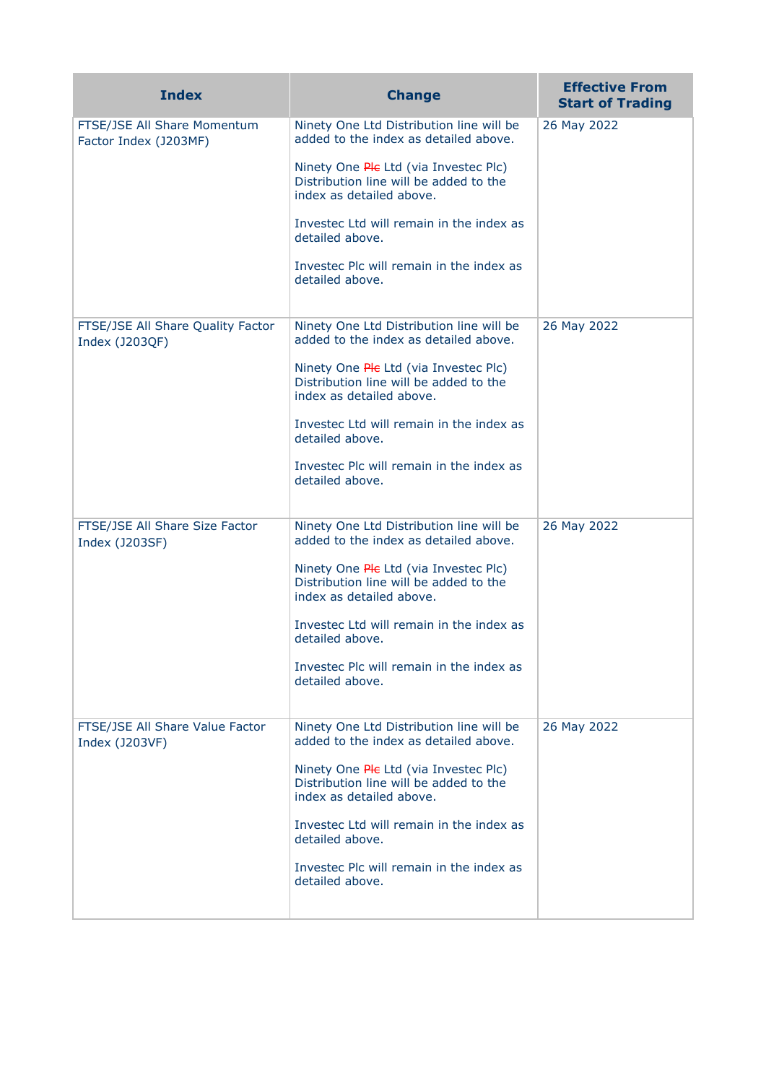| <b>Index</b>                                         | <b>Change</b>                                                                                               | <b>Effective From</b><br><b>Start of Trading</b> |
|------------------------------------------------------|-------------------------------------------------------------------------------------------------------------|--------------------------------------------------|
| FTSE/JSE All Share Momentum<br>Factor Index (J203MF) | Ninety One Ltd Distribution line will be<br>added to the index as detailed above.                           | 26 May 2022                                      |
|                                                      | Ninety One Ple Ltd (via Investec Plc)<br>Distribution line will be added to the<br>index as detailed above. |                                                  |
|                                                      | Investec Ltd will remain in the index as<br>detailed above.                                                 |                                                  |
|                                                      | Investec Plc will remain in the index as<br>detailed above.                                                 |                                                  |
| FTSE/JSE All Share Quality Factor<br>Index (J203QF)  | Ninety One Ltd Distribution line will be<br>added to the index as detailed above.                           | 26 May 2022                                      |
|                                                      | Ninety One Ple Ltd (via Investec Plc)<br>Distribution line will be added to the<br>index as detailed above. |                                                  |
|                                                      | Investec Ltd will remain in the index as<br>detailed above.                                                 |                                                  |
|                                                      | Investec Plc will remain in the index as<br>detailed above.                                                 |                                                  |
| FTSE/JSE All Share Size Factor<br>Index (J203SF)     | Ninety One Ltd Distribution line will be<br>added to the index as detailed above.                           | 26 May 2022                                      |
|                                                      | Ninety One Ple Ltd (via Investec Plc)<br>Distribution line will be added to the<br>index as detailed above. |                                                  |
|                                                      | Investec Ltd will remain in the index as<br>detailed above.                                                 |                                                  |
|                                                      | Investec Plc will remain in the index as<br>detailed above.                                                 |                                                  |
| FTSE/JSE All Share Value Factor<br>Index (J203VF)    | Ninety One Ltd Distribution line will be<br>added to the index as detailed above.                           | 26 May 2022                                      |
|                                                      | Ninety One Ple Ltd (via Investec Plc)<br>Distribution line will be added to the<br>index as detailed above. |                                                  |
|                                                      | Investec Ltd will remain in the index as<br>detailed above.                                                 |                                                  |
|                                                      | Investec Plc will remain in the index as<br>detailed above.                                                 |                                                  |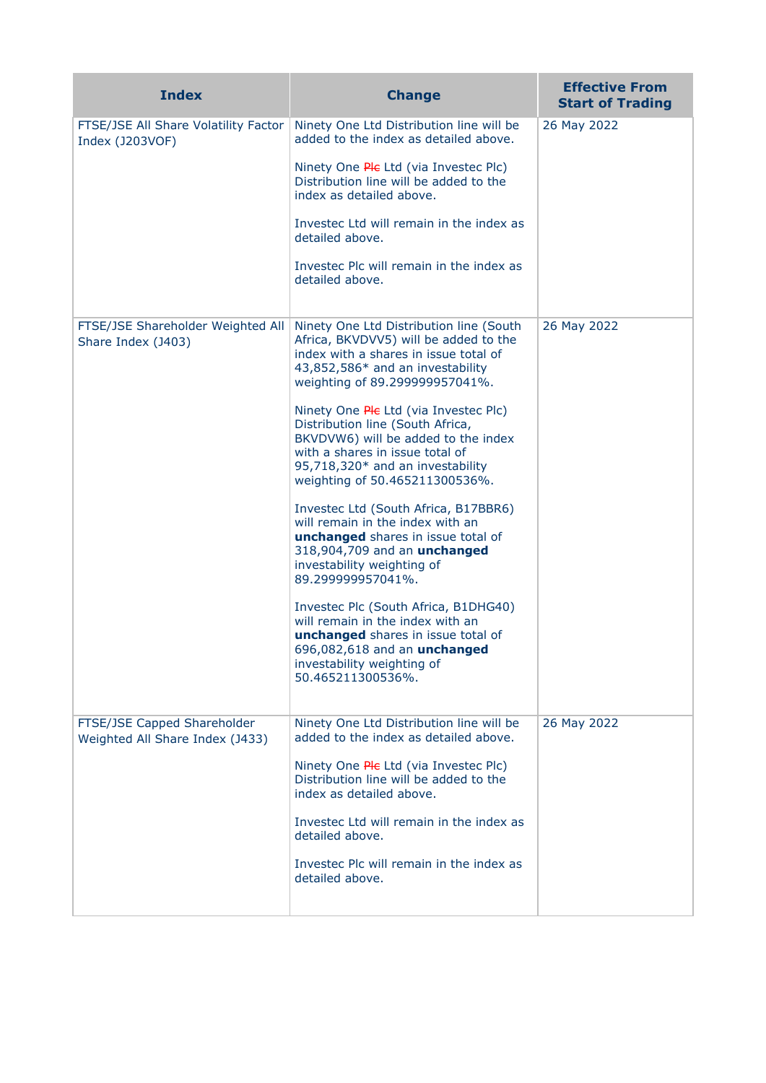| <b>Index</b>                                                   | <b>Change</b>                                                                                                                                                                                                                                                                                                                                                                                                                                                                                                                                                                                                                                                                                                                                                                                                                          | <b>Effective From</b><br><b>Start of Trading</b> |
|----------------------------------------------------------------|----------------------------------------------------------------------------------------------------------------------------------------------------------------------------------------------------------------------------------------------------------------------------------------------------------------------------------------------------------------------------------------------------------------------------------------------------------------------------------------------------------------------------------------------------------------------------------------------------------------------------------------------------------------------------------------------------------------------------------------------------------------------------------------------------------------------------------------|--------------------------------------------------|
| FTSE/JSE All Share Volatility Factor<br>Index (J203VOF)        | Ninety One Ltd Distribution line will be<br>added to the index as detailed above.<br>Ninety One Ple Ltd (via Investec Plc)<br>Distribution line will be added to the<br>index as detailed above.<br>Investec Ltd will remain in the index as<br>detailed above.<br>Investec Plc will remain in the index as<br>detailed above.                                                                                                                                                                                                                                                                                                                                                                                                                                                                                                         | 26 May 2022                                      |
| FTSE/JSE Shareholder Weighted All<br>Share Index (J403)        | Ninety One Ltd Distribution line (South<br>Africa, BKVDVV5) will be added to the<br>index with a shares in issue total of<br>43,852,586* and an investability<br>weighting of 89.299999957041%.<br>Ninety One Ple Ltd (via Investec Plc)<br>Distribution line (South Africa,<br>BKVDVW6) will be added to the index<br>with a shares in issue total of<br>95,718,320* and an investability<br>weighting of 50.465211300536%.<br>Investec Ltd (South Africa, B17BBR6)<br>will remain in the index with an<br>unchanged shares in issue total of<br>318,904,709 and an unchanged<br>investability weighting of<br>89.299999957041%.<br>Investec Plc (South Africa, B1DHG40)<br>will remain in the index with an<br>unchanged shares in issue total of<br>696,082,618 and an unchanged<br>investability weighting of<br>50.465211300536%. | 26 May 2022                                      |
| FTSE/JSE Capped Shareholder<br>Weighted All Share Index (J433) | Ninety One Ltd Distribution line will be<br>added to the index as detailed above.<br>Ninety One Ple Ltd (via Investec Plc)<br>Distribution line will be added to the<br>index as detailed above.<br>Invested Ltd will remain in the index as<br>detailed above.<br>Investec Plc will remain in the index as<br>detailed above.                                                                                                                                                                                                                                                                                                                                                                                                                                                                                                         | 26 May 2022                                      |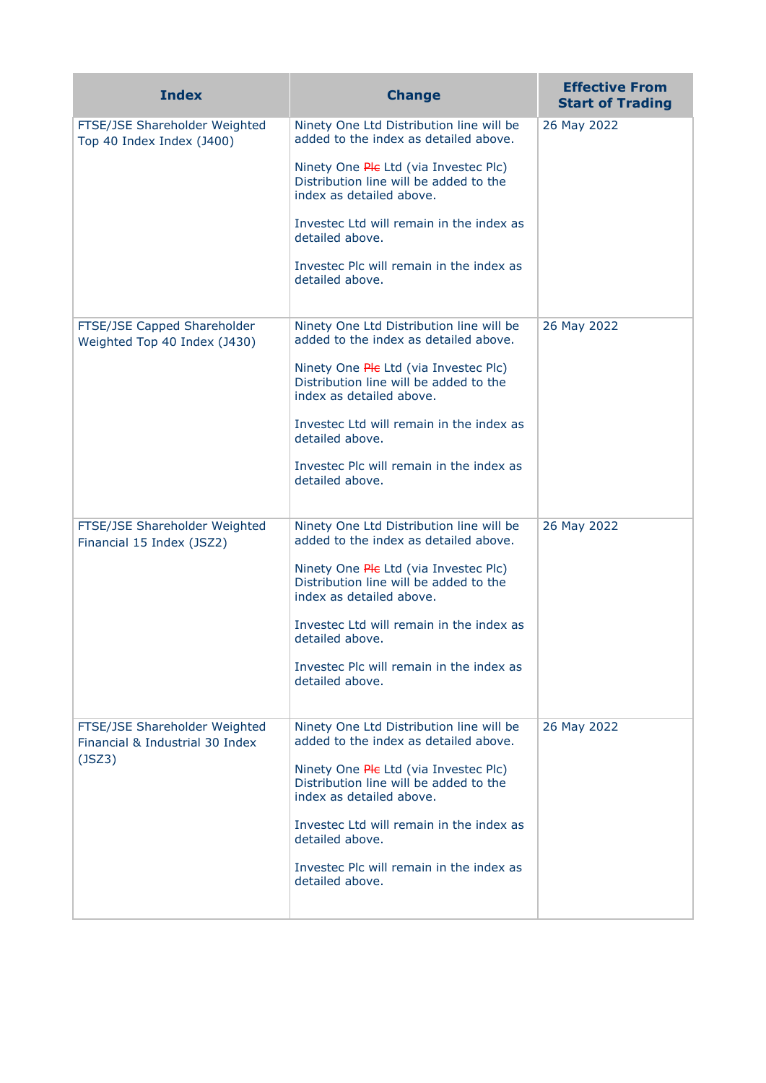| <b>Index</b>                                                               | <b>Change</b>                                                                                               | <b>Effective From</b><br><b>Start of Trading</b> |
|----------------------------------------------------------------------------|-------------------------------------------------------------------------------------------------------------|--------------------------------------------------|
| FTSE/JSE Shareholder Weighted<br>Top 40 Index Index (J400)                 | Ninety One Ltd Distribution line will be<br>added to the index as detailed above.                           | 26 May 2022                                      |
|                                                                            | Ninety One Ple Ltd (via Investec Plc)<br>Distribution line will be added to the<br>index as detailed above. |                                                  |
|                                                                            | Investec Ltd will remain in the index as<br>detailed above.                                                 |                                                  |
|                                                                            | Investec Plc will remain in the index as<br>detailed above.                                                 |                                                  |
| FTSE/JSE Capped Shareholder<br>Weighted Top 40 Index (J430)                | Ninety One Ltd Distribution line will be<br>added to the index as detailed above.                           | 26 May 2022                                      |
|                                                                            | Ninety One Ple Ltd (via Investec Plc)<br>Distribution line will be added to the<br>index as detailed above. |                                                  |
|                                                                            | Investec Ltd will remain in the index as<br>detailed above.                                                 |                                                  |
|                                                                            | Investec Plc will remain in the index as<br>detailed above.                                                 |                                                  |
| FTSE/JSE Shareholder Weighted<br>Financial 15 Index (JSZ2)                 | Ninety One Ltd Distribution line will be<br>added to the index as detailed above.                           | 26 May 2022                                      |
|                                                                            | Ninety One Ple Ltd (via Investec Plc)<br>Distribution line will be added to the<br>index as detailed above. |                                                  |
|                                                                            | Investec Ltd will remain in the index as<br>detailed above.                                                 |                                                  |
|                                                                            | Investec Plc will remain in the index as<br>detailed above.                                                 |                                                  |
| FTSE/JSE Shareholder Weighted<br>Financial & Industrial 30 Index<br>(JSZ3) | Ninety One Ltd Distribution line will be<br>added to the index as detailed above.                           | 26 May 2022                                      |
|                                                                            | Ninety One Ple Ltd (via Investec Plc)<br>Distribution line will be added to the<br>index as detailed above. |                                                  |
|                                                                            | Investec Ltd will remain in the index as<br>detailed above.                                                 |                                                  |
|                                                                            | Investec Plc will remain in the index as<br>detailed above.                                                 |                                                  |